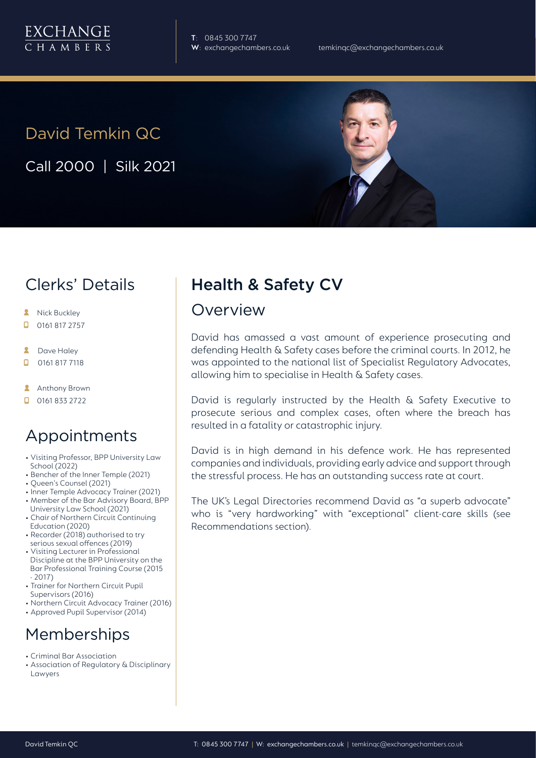**T**: 0845 300 7747

# David Temkin QC

Call 2000 | Silk 2021

### Clerks' Details

- **A** Nick Buckley
- $\Box$  0161 817 2757
- **2** Dave Haley
- $\Box$ 0161 817 7118
- **Anthony Brown**
- $\Box$  0161 833 2722

### Appointments

- Visiting Professor, BPP University Law School (2022)
- Bencher of the Inner Temple (2021)
- Queen's Counsel (2021)
- Inner Temple Advocacy Trainer (2021) • Member of the Bar Advisory Board, BPP University Law School (2021)
- Chair of Northern Circuit Continuing Education (2020)
- Recorder (2018) authorised to try serious sexual offences (2019)
- Visiting Lecturer in Professional Discipline at the BPP University on the Bar Professional Training Course (2015 - 2017)
- Trainer for Northern Circuit Pupil Supervisors (2016)
- Northern Circuit Advocacy Trainer (2016)
- Approved Pupil Supervisor (2014)

### **Memberships**

- Criminal Bar Association
- Association of Regulatory & Disciplinary Lawyers

## Health & Safety CV

### **Overview**

David has amassed a vast amount of experience prosecuting and defending Health & Safety cases before the criminal courts. In 2012, he was appointed to the national list of Specialist Regulatory Advocates, allowing him to specialise in Health & Safety cases.

David is regularly instructed by the Health & Safety Executive to prosecute serious and complex cases, often where the breach has resulted in a fatality or catastrophic injury.

David is in high demand in his defence work. He has represented companies and individuals, providing early advice and support through the stressful process. He has an outstanding success rate at court.

The UK's Legal Directories recommend David as "a superb advocate" who is "very hardworking" with "exceptional" client-care skills (see Recommendations section).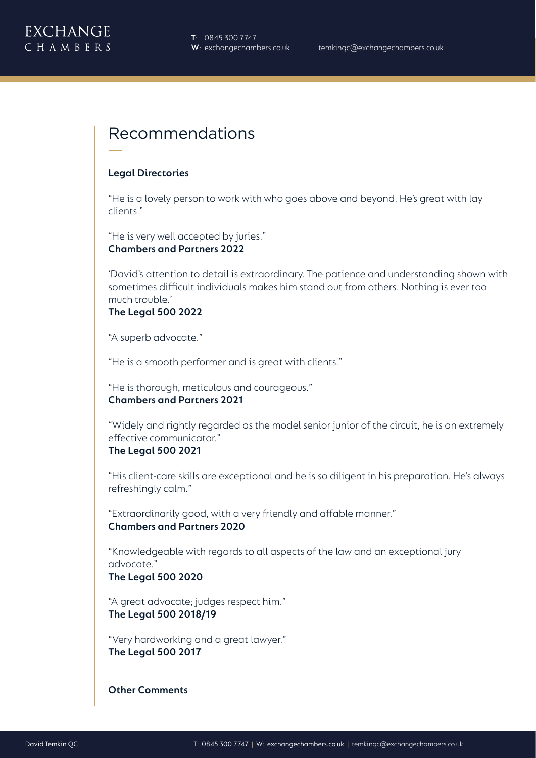

### Recommendations

#### **Legal Directories**

"He is a lovely person to work with who goes above and beyond. He's great with lay clients."

"He is very well accepted by juries." **Chambers and Partners 2022**

'David's attention to detail is extraordinary. The patience and understanding shown with sometimes difficult individuals makes him stand out from others. Nothing is ever too much trouble.'

#### **The Legal 500 2022**

"A superb advocate."

"He is a smooth performer and is great with clients."

"He is thorough, meticulous and courageous." **Chambers and Partners 2021**

"Widely and rightly regarded as the model senior junior of the circuit, he is an extremely effective communicator."

#### **The Legal 500 2021**

"His client-care skills are exceptional and he is so diligent in his preparation. He's always refreshingly calm."

"Extraordinarily good, with a very friendly and affable manner." **Chambers and Partners 2020**

"Knowledgeable with regards to all aspects of the law and an exceptional jury advocate."

#### **The Legal 500 2020**

"A great advocate; judges respect him." **The Legal 500 2018/19**

"Very hardworking and a great lawyer." **The Legal 500 2017**

**Other Comments**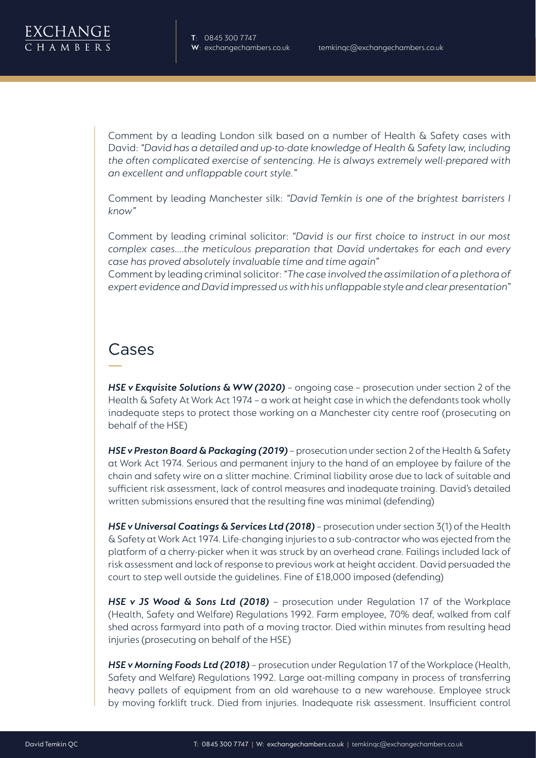**T**: 0845 300 7747

Comment by a leading London silk based on a number of Health & Safety cases with David: *"David has a detailed and up-to-date knowledge of Health & Safety law, including the often complicated exercise of sentencing. He is always extremely well-prepared with an excellent and unflappable court style."*

Comment by leading Manchester silk: *"David Temkin is one of the brightest barristers I know"*

Comment by leading criminal solicitor: *"David is our first choice to instruct in our most complex cases….the meticulous preparation that David undertakes for each and every case has proved absolutely invaluable time and time again"*

Comment by leading criminal solicitor: *"The case involved the assimilation of a plethora of expert evidence and David impressed us with his unflappable style and clear presentation"*

### Cases

*HSE v Exquisite Solutions & WW (2020)* - ongoing case - prosecution under section 2 of the Health & Safety At Work Act 1974 – a work at height case in which the defendants took wholly inadequate steps to protect those working on a Manchester city centre roof (prosecuting on behalf of the HSE)

*HSE v Preston Board & Packaging (2019)* – prosecution under section 2 of the Health & Safety at Work Act 1974. Serious and permanent injury to the hand of an employee by failure of the chain and safety wire on a slitter machine. Criminal liability arose due to lack of suitable and sufficient risk assessment, lack of control measures and inadequate training. David's detailed written submissions ensured that the resulting fine was minimal (defending)

*HSE v Universal Coatings & Services Ltd (2018)* – prosecution under section 3(1) of the Health & Safety at Work Act 1974. Life-changing injuries to a sub-contractor who was ejected from the platform of a cherry-picker when it was struck by an overhead crane. Failings included lack of risk assessment and lack of response to previous work at height accident. David persuaded the court to step well outside the guidelines. Fine of £18,000 imposed (defending)

*HSE v JS Wood & Sons Ltd (2018)* – prosecution under Regulation 17 of the Workplace (Health, Safety and Welfare) Regulations 1992. Farm employee, 70% deaf, walked from calf shed across farmyard into path of a moving tractor. Died within minutes from resulting head injuries (prosecuting on behalf of the HSE)

*HSE v Morning Foods Ltd (2018)* – prosecution under Regulation 17 of the Workplace (Health, Safety and Welfare) Regulations 1992. Large oat-milling company in process of transferring heavy pallets of equipment from an old warehouse to a new warehouse. Employee struck by moving forklift truck. Died from injuries. Inadequate risk assessment. Insufficient control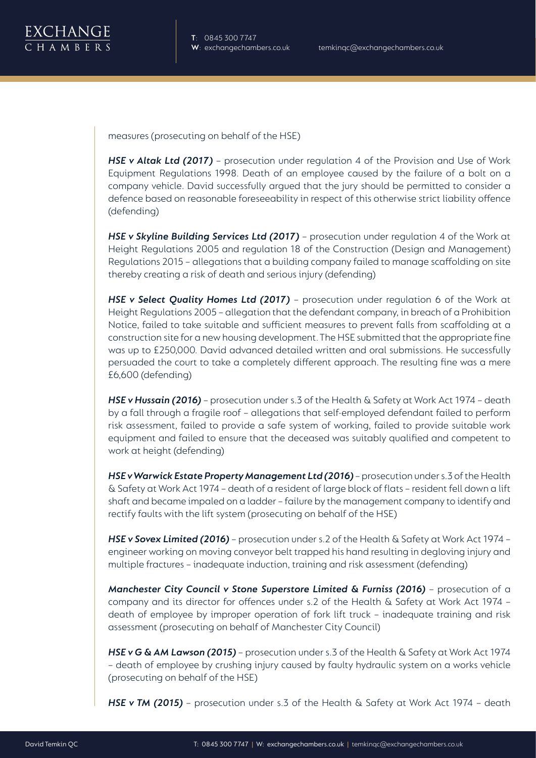

measures (prosecuting on behalf of the HSE)

**HSE v Altak Ltd (2017)** – prosecution under regulation 4 of the Provision and Use of Work Equipment Regulations 1998. Death of an employee caused by the failure of a bolt on a company vehicle. David successfully argued that the jury should be permitted to consider a defence based on reasonable foreseeability in respect of this otherwise strict liability offence (defending)

*HSE v Skyline Building Services Ltd (2017)* – prosecution under regulation 4 of the Work at Height Regulations 2005 and regulation 18 of the Construction (Design and Management) Regulations 2015 – allegations that a building company failed to manage scaffolding on site thereby creating a risk of death and serious injury (defending)

**HSE v Select Quality Homes Ltd (2017)** - prosecution under regulation 6 of the Work at Height Regulations 2005 – allegation that the defendant company, in breach of a Prohibition Notice, failed to take suitable and sufficient measures to prevent falls from scaffolding at a construction site for a new housing development. The HSE submitted that the appropriate fine was up to £250,000. David advanced detailed written and oral submissions. He successfully persuaded the court to take a completely different approach. The resulting fine was a mere £6,600 (defending)

*HSE v Hussain (2016)* – prosecution under s.3 of the Health & Safety at Work Act 1974 – death by a fall through a fragile roof – allegations that self-employed defendant failed to perform risk assessment, failed to provide a safe system of working, failed to provide suitable work equipment and failed to ensure that the deceased was suitably qualified and competent to work at height (defending)

*HSE v Warwick Estate Property Management Ltd (2016)* – prosecution under s.3 of the Health & Safety at Work Act 1974 – death of a resident of large block of flats – resident fell down a lift shaft and became impaled on a ladder – failure by the management company to identify and rectify faults with the lift system (prosecuting on behalf of the HSE)

*HSE v Sovex Limited (2016)* – prosecution under s.2 of the Health & Safety at Work Act 1974 – engineer working on moving conveyor belt trapped his hand resulting in degloving injury and multiple fractures – inadequate induction, training and risk assessment (defending)

*Manchester City Council v Stone Superstore Limited & Furniss (2016)* – prosecution of a company and its director for offences under s.2 of the Health & Safety at Work Act 1974 – death of employee by improper operation of fork lift truck – inadequate training and risk assessment (prosecuting on behalf of Manchester City Council)

*HSE v G & AM Lawson (2015)* – prosecution under s.3 of the Health & Safety at Work Act 1974 – death of employee by crushing injury caused by faulty hydraulic system on a works vehicle (prosecuting on behalf of the HSE)

*HSE v TM (2015)* – prosecution under s.3 of the Health & Safety at Work Act 1974 – death